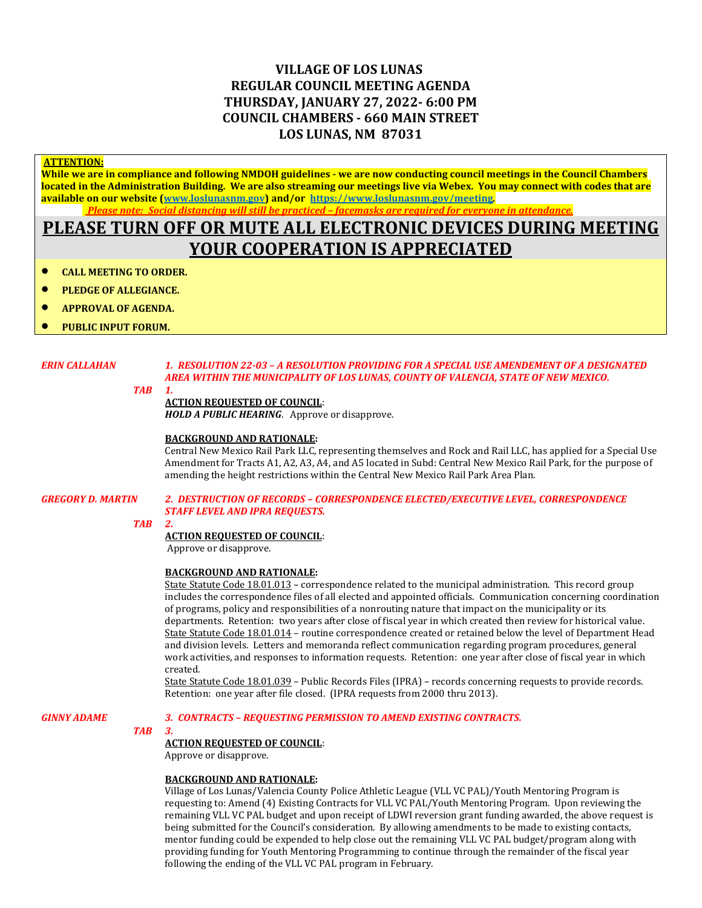# **VILLAGE OF LOS LUNAS REGULAR COUNCIL MEETING AGENDA THURSDAY, JANUARY 27, 2022- 6:00 PM COUNCIL CHAMBERS - 660 MAIN STREET LOS LUNAS, NM 87031**

#### **ATTENTION:**

**While we are in compliance and following NMDOH guidelines - we are now conducting council meetings in the Council Chambers located in the Administration Building. We are also streaming our meetings live via Webex. You may connect with codes that are available on our website [\(www.loslunasnm.gov\)](http://www.loslunasnm.gov/) and/or<https://www.loslunasnm.gov/meeting>***. Please note: Social distancing will still be practiced – facemasks are required for everyone in attendance.*

# **PLEASE TURN OFF OR MUTE ALL ELECTRONIC DEVICES DURING MEETING YOUR COOPERATION IS APPRECIATED**

- **CALL MEETING TO ORDER.**
- **PLEDGE OF ALLEGIANCE.**
- **APPROVAL OF AGENDA.**
- **PUBLIC INPUT FORUM.**

### *ERIN CALLAHAN 1. RESOLUTION 22-03 – A RESOLUTION PROVIDING FOR A SPECIAL USE AMENDEMENT OF A DESIGNATED AREA WITHIN THE MUNICIPALITY OF LOS LUNAS, COUNTY OF VALENCIA, STATE OF NEW MEXICO.*

#### *TAB 1.*

#### **ACTION REQUESTED OF COUNCIL**:

*HOLD A PUBLIC HEARING*. Approve or disapprove.

#### **BACKGROUND AND RATIONALE:**

Central New Mexico Rail Park LLC, representing themselves and Rock and Rail LLC, has applied for a Special Use Amendment for Tracts A1, A2, A3, A4, and A5 located in Subd: Central New Mexico Rail Park, for the purpose of amending the height restrictions within the Central New Mexico Rail Park Area Plan.

#### *GREGORY D. MARTIN 2. DESTRUCTION OF RECORDS – CORRESPONDENCE ELECTED/EXECUTIVE LEVEL, CORRESPONDENCE STAFF LEVEL AND IPRA REQUESTS.*

#### *TAB 2.*

#### **ACTION REQUESTED OF COUNCIL**:

Approve or disapprove.

#### **BACKGROUND AND RATIONALE:**

State Statute Code 18.01.013 – correspondence related to the municipal administration. This record group includes the correspondence files of all elected and appointed officials. Communication concerning coordination of programs, policy and responsibilities of a nonrouting nature that impact on the municipality or its departments. Retention: two years after close of fiscal year in which created then review for historical value. State Statute Code 18.01.014 – routine correspondence created or retained below the level of Department Head and division levels. Letters and memoranda reflect communication regarding program procedures, general work activities, and responses to information requests. Retention: one year after close of fiscal year in which created.

State Statute Code 18.01.039 – Public Records Files (IPRA) – records concerning requests to provide records. Retention: one year after file closed. (IPRA requests from 2000 thru 2013).

#### *GINNY ADAME 3. CONTRACTS – REQUESTING PERMISSION TO AMEND EXISTING CONTRACTS.*

## *TAB 3.*

#### **ACTION REQUESTED OF COUNCIL**:

Approve or disapprove.

### **BACKGROUND AND RATIONALE:**

Village of Los Lunas/Valencia County Police Athletic League (VLL VC PAL)/Youth Mentoring Program is requesting to: Amend (4) Existing Contracts for VLL VC PAL/Youth Mentoring Program. Upon reviewing the remaining VLL VC PAL budget and upon receipt of LDWI reversion grant funding awarded, the above request is being submitted for the Council's consideration. By allowing amendments to be made to existing contacts, mentor funding could be expended to help close out the remaining VLL VC PAL budget/program along with providing funding for Youth Mentoring Programming to continue through the remainder of the fiscal year following the ending of the VLL VC PAL program in February.